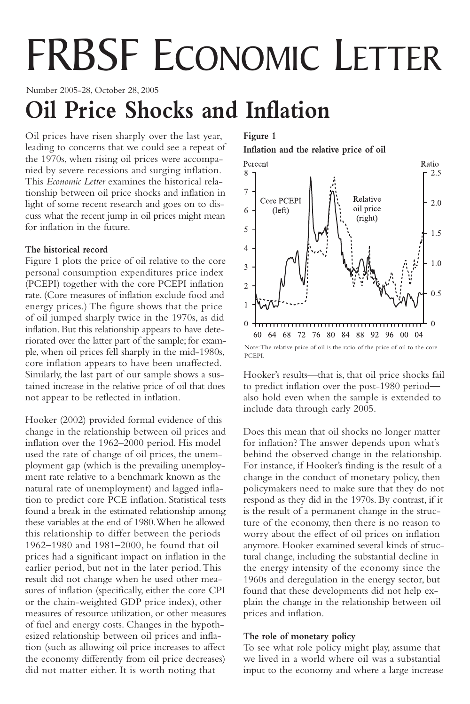# FRBSF ECONOMIC LETTER

Number 2005-28, October 28, 2005

# **Oil Price Shocks and Inflation**

Oil prices have risen sharply over the last year, leading to concerns that we could see a repeat of the 1970s, when rising oil prices were accompanied by severe recessions and surging inflation. This *Economic Letter* examines the historical relationship between oil price shocks and inflation in light of some recent research and goes on to discuss what the recent jump in oil prices might mean for inflation in the future.

# **The historical record**

Figure 1 plots the price of oil relative to the core personal consumption expenditures price index (PCEPI) together with the core PCEPI inflation rate. (Core measures of inflation exclude food and energy prices.) The figure shows that the price of oil jumped sharply twice in the 1970s, as did inflation. But this relationship appears to have deteriorated over the latter part of the sample; for example, when oil prices fell sharply in the mid-1980s, core inflation appears to have been unaffected. Similarly, the last part of our sample shows a sustained increase in the relative price of oil that does not appear to be reflected in inflation.

Hooker (2002) provided formal evidence of this change in the relationship between oil prices and inflation over the 1962–2000 period. His model used the rate of change of oil prices, the unemployment gap (which is the prevailing unemployment rate relative to a benchmark known as the natural rate of unemployment) and lagged inflation to predict core PCE inflation. Statistical tests found a break in the estimated relationship among these variables at the end of 1980.When he allowed this relationship to differ between the periods 1962–1980 and 1981–2000, he found that oil prices had a significant impact on inflation in the earlier period, but not in the later period.This result did not change when he used other measures of inflation (specifically, either the core CPI or the chain-weighted GDP price index), other measures of resource utilization, or other measures of fuel and energy costs. Changes in the hypothesized relationship between oil prices and inflation (such as allowing oil price increases to affect the economy differently from oil price decreases) did not matter either. It is worth noting that

# **Figure 1**

**Inflation and the relative price of oil**



Hooker's results—that is, that oil price shocks fail to predict inflation over the post-1980 period also hold even when the sample is extended to include data through early 2005.

Does this mean that oil shocks no longer matter for inflation? The answer depends upon what's behind the observed change in the relationship. For instance, if Hooker's finding is the result of a change in the conduct of monetary policy, then policymakers need to make sure that they do not respond as they did in the 1970s. By contrast, if it is the result of a permanent change in the structure of the economy, then there is no reason to worry about the effect of oil prices on inflation anymore. Hooker examined several kinds of structural change, including the substantial decline in the energy intensity of the economy since the 1960s and deregulation in the energy sector, but found that these developments did not help explain the change in the relationship between oil prices and inflation.

# **The role of monetary policy**

To see what role policy might play, assume that we lived in a world where oil was a substantial input to the economy and where a large increase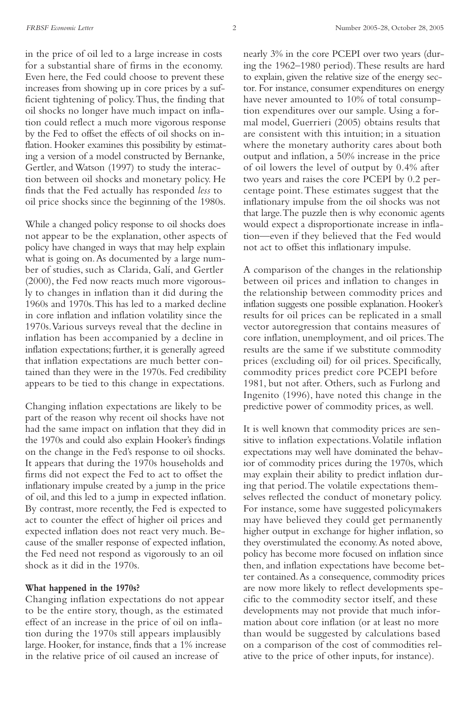in the price of oil led to a large increase in costs for a substantial share of firms in the economy. Even here, the Fed could choose to prevent these increases from showing up in core prices by a sufficient tightening of policy.Thus, the finding that oil shocks no longer have much impact on inflation could reflect a much more vigorous response by the Fed to offset the effects of oil shocks on inflation. Hooker examines this possibility by estimating a version of a model constructed by Bernanke, Gertler, and Watson (1997) to study the interaction between oil shocks and monetary policy. He finds that the Fed actually has responded *less* to oil price shocks since the beginning of the 1980s.

While a changed policy response to oil shocks does not appear to be the explanation, other aspects of policy have changed in ways that may help explain what is going on.As documented by a large number of studies, such as Clarida, Galí, and Gertler (2000), the Fed now reacts much more vigorously to changes in inflation than it did during the 1960s and 1970s.This has led to a marked decline in core inflation and inflation volatility since the 1970s.Various surveys reveal that the decline in inflation has been accompanied by a decline in inflation expectations; further, it is generally agreed that inflation expectations are much better contained than they were in the 1970s. Fed credibility appears to be tied to this change in expectations.

Changing inflation expectations are likely to be part of the reason why recent oil shocks have not had the same impact on inflation that they did in the 1970s and could also explain Hooker's findings on the change in the Fed's response to oil shocks. It appears that during the 1970s households and firms did not expect the Fed to act to offset the inflationary impulse created by a jump in the price of oil, and this led to a jump in expected inflation. By contrast, more recently, the Fed is expected to act to counter the effect of higher oil prices and expected inflation does not react very much. Because of the smaller response of expected inflation, the Fed need not respond as vigorously to an oil shock as it did in the 1970s.

#### **What happened in the 1970s?**

Changing inflation expectations do not appear to be the entire story, though, as the estimated effect of an increase in the price of oil on inflation during the 1970s still appears implausibly large. Hooker, for instance, finds that a 1% increase in the relative price of oil caused an increase of

nearly 3% in the core PCEPI over two years (during the 1962–1980 period).These results are hard to explain, given the relative size of the energy sector. For instance, consumer expenditures on energy have never amounted to 10% of total consumption expenditures over our sample. Using a formal model, Guerrieri (2005) obtains results that are consistent with this intuition; in a situation where the monetary authority cares about both output and inflation, a 50% increase in the price of oil lowers the level of output by 0.4% after two years and raises the core PCEPI by 0.2 percentage point.These estimates suggest that the inflationary impulse from the oil shocks was not that large.The puzzle then is why economic agents would expect a disproportionate increase in inflation—even if they believed that the Fed would not act to offset this inflationary impulse.

A comparison of the changes in the relationship between oil prices and inflation to changes in the relationship between commodity prices and inflation suggests one possible explanation. Hooker's results for oil prices can be replicated in a small vector autoregression that contains measures of core inflation, unemployment, and oil prices.The results are the same if we substitute commodity prices (excluding oil) for oil prices. Specifically, commodity prices predict core PCEPI before 1981, but not after. Others, such as Furlong and Ingenito (1996), have noted this change in the predictive power of commodity prices, as well.

It is well known that commodity prices are sensitive to inflation expectations.Volatile inflation expectations may well have dominated the behavior of commodity prices during the 1970s, which may explain their ability to predict inflation during that period.The volatile expectations themselves reflected the conduct of monetary policy. For instance, some have suggested policymakers may have believed they could get permanently higher output in exchange for higher inflation, so they overstimulated the economy.As noted above, policy has become more focused on inflation since then, and inflation expectations have become better contained.As a consequence, commodity prices are now more likely to reflect developments specific to the commodity sector itself, and these developments may not provide that much information about core inflation (or at least no more than would be suggested by calculations based on a comparison of the cost of commodities relative to the price of other inputs, for instance).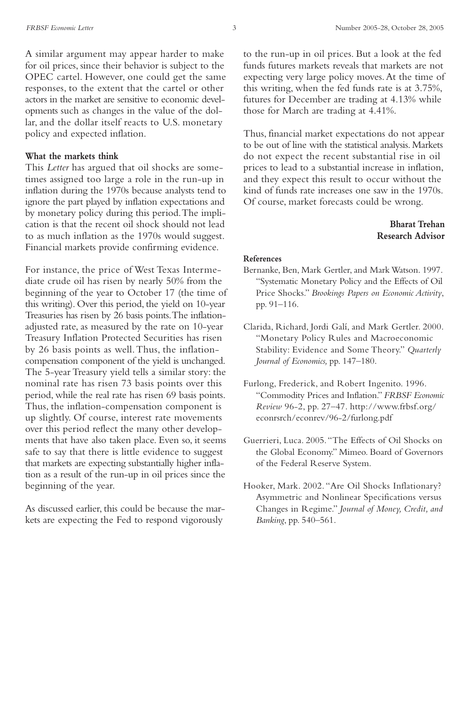A similar argument may appear harder to make for oil prices, since their behavior is subject to the OPEC cartel. However, one could get the same responses, to the extent that the cartel or other actors in the market are sensitive to economic developments such as changes in the value of the dollar, and the dollar itself reacts to U.S. monetary policy and expected inflation.

#### **What the markets think**

This *Letter* has argued that oil shocks are sometimes assigned too large a role in the run-up in inflation during the 1970s because analysts tend to ignore the part played by inflation expectations and by monetary policy during this period.The implication is that the recent oil shock should not lead to as much inflation as the 1970s would suggest. Financial markets provide confirming evidence.

For instance, the price of West Texas Intermediate crude oil has risen by nearly 50% from the beginning of the year to October 17 (the time of this writing). Over this period, the yield on 10-year Treasuries has risen by 26 basis points.The inflationadjusted rate, as measured by the rate on 10-year Treasury Inflation Protected Securities has risen by 26 basis points as well.Thus, the inflationcompensation component of the yield is unchanged. The 5-year Treasury yield tells a similar story: the nominal rate has risen 73 basis points over this period, while the real rate has risen 69 basis points. Thus, the inflation-compensation component is up slightly. Of course, interest rate movements over this period reflect the many other developments that have also taken place. Even so, it seems safe to say that there is little evidence to suggest that markets are expecting substantially higher inflation as a result of the run-up in oil prices since the beginning of the year.

As discussed earlier, this could be because the markets are expecting the Fed to respond vigorously

to the run-up in oil prices. But a look at the fed funds futures markets reveals that markets are not expecting very large policy moves.At the time of this writing, when the fed funds rate is at 3.75%, futures for December are trading at 4.13% while those for March are trading at 4.41%.

Thus, financial market expectations do not appear to be out of line with the statistical analysis. Markets do not expect the recent substantial rise in oil prices to lead to a substantial increase in inflation, and they expect this result to occur without the kind of funds rate increases one saw in the 1970s. Of course, market forecasts could be wrong.

### **Bharat Trehan Research Advisor**

#### **References**

- Bernanke, Ben, Mark Gertler, and Mark Watson. 1997. "Systematic Monetary Policy and the Effects of Oil Price Shocks." *Brookings Papers on Economic Activity*, pp. 91–116.
- Clarida, Richard, Jordi Galí, and Mark Gertler. 2000. "Monetary Policy Rules and Macroeconomic Stability: Evidence and Some Theory." *Quarterly Journal of Economics,* pp. 147–180.
- Furlong, Frederick, and Robert Ingenito. 1996. "Commodity Prices and Inflation." *FRBSF Economic Review* 96-2, pp. 27–47. http://www.frbsf.org/ econrsrch/econrev/96-2/furlong.pdf
- Guerrieri, Luca. 2005."The Effects of Oil Shocks on the Global Economy." Mimeo. Board of Governors of the Federal Reserve System.
- Hooker, Mark. 2002. "Are Oil Shocks Inflationary? Asymmetric and Nonlinear Specifications versus Changes in Regime." *Journal of Money, Credit, and Banking*, pp. 540–561.